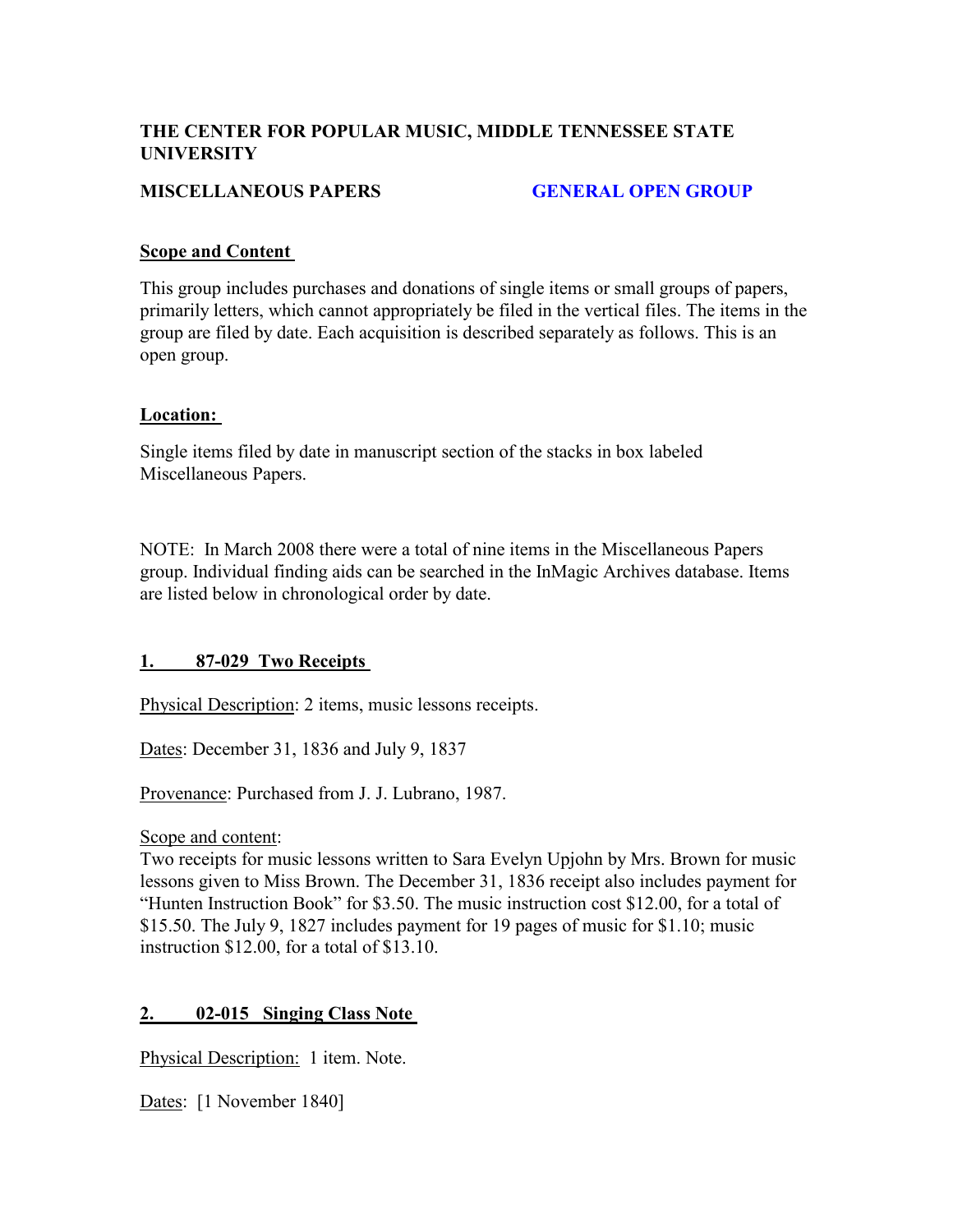## **THE CENTER FOR POPULAR MUSIC, MIDDLE TENNESSEE STATE UNIVERSITY**

## **MISCELLANEOUS PAPERS GENERAL OPEN GROUP**

#### **Scope and Content**

This group includes purchases and donations of single items or small groups of papers, primarily letters, which cannot appropriately be filed in the vertical files. The items in the group are filed by date. Each acquisition is described separately as follows. This is an open group.

#### **Location:**

Single items filed by date in manuscript section of the stacks in box labeled Miscellaneous Papers.

NOTE: In March 2008 there were a total of nine items in the Miscellaneous Papers group. Individual finding aids can be searched in the InMagic Archives database. Items are listed below in chronological order by date.

## **1. 87-029 Two Receipts**

Physical Description: 2 items, music lessons receipts.

Dates: December 31, 1836 and July 9, 1837

Provenance: Purchased from J. J. Lubrano, 1987.

Scope and content:

Two receipts for music lessons written to Sara Evelyn Upjohn by Mrs. Brown for music lessons given to Miss Brown. The December 31, 1836 receipt also includes payment for "Hunten Instruction Book" for \$3.50. The music instruction cost \$12.00, for a total of \$15.50. The July 9, 1827 includes payment for 19 pages of music for \$1.10; music instruction \$12.00, for a total of \$13.10.

## **2. 02-015 Singing Class Note**

Physical Description:1 item. Note.

Dates:[1 November 1840]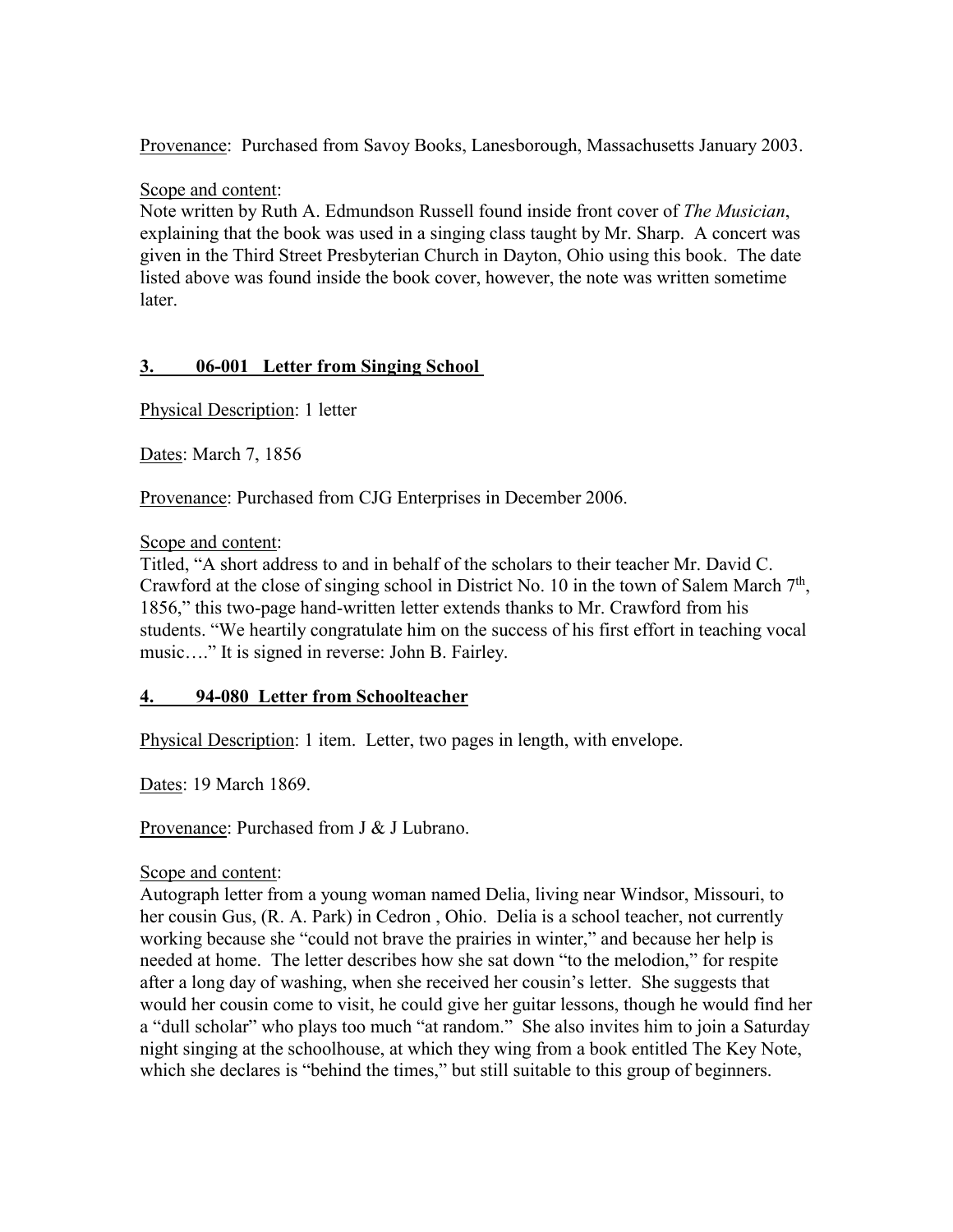Provenance:Purchased from Savoy Books, Lanesborough, Massachusetts January 2003.

Scope and content:

Note written by Ruth A. Edmundson Russell found inside front cover of *The Musician*, explaining that the book was used in a singing class taught by Mr. Sharp. A concert was given in the Third Street Presbyterian Church in Dayton, Ohio using this book. The date listed above was found inside the book cover, however, the note was written sometime later.

## **3. 06-001 Letter from Singing School**

Physical Description: 1 letter

Dates: March 7, 1856

Provenance: Purchased from CJG Enterprises in December 2006.

Scope and content:

Titled, "A short address to and in behalf of the scholars to their teacher Mr. David C. Crawford at the close of singing school in District No. 10 in the town of Salem March  $7<sup>th</sup>$ , 1856," this two-page hand-written letter extends thanks to Mr. Crawford from his students. "We heartily congratulate him on the success of his first effort in teaching vocal music…." It is signed in reverse: John B. Fairley.

## **4. 94-080 Letter from Schoolteacher**

Physical Description: 1 item. Letter, two pages in length, with envelope.

Dates: 19 March 1869.

Provenance: Purchased from J & J Lubrano.

#### Scope and content:

Autograph letter from a young woman named Delia, living near Windsor, Missouri, to her cousin Gus, (R. A. Park) in Cedron , Ohio. Delia is a school teacher, not currently working because she "could not brave the prairies in winter," and because her help is needed at home. The letter describes how she sat down "to the melodion," for respite after a long day of washing, when she received her cousin's letter. She suggests that would her cousin come to visit, he could give her guitar lessons, though he would find her a "dull scholar" who plays too much "at random." She also invites him to join a Saturday night singing at the schoolhouse, at which they wing from a book entitled The Key Note, which she declares is "behind the times," but still suitable to this group of beginners.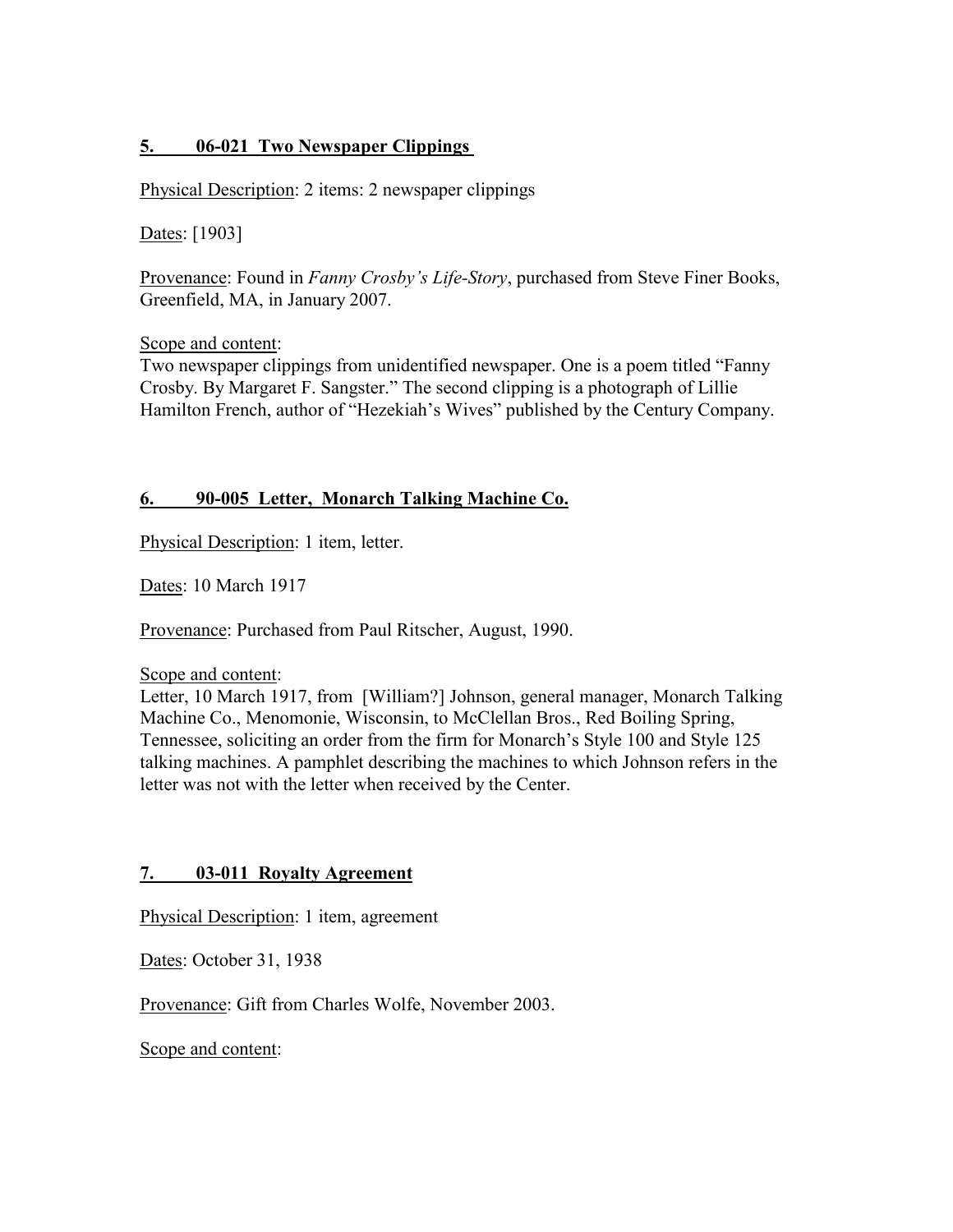## **5. 06-021 Two Newspaper Clippings**

Physical Description: 2 items: 2 newspaper clippings

Dates: [1903]

Provenance: Found in *Fanny Crosby's Life-Story*, purchased from Steve Finer Books, Greenfield, MA, in January 2007.

Scope and content:

Two newspaper clippings from unidentified newspaper. One is a poem titled "Fanny Crosby. By Margaret F. Sangster." The second clipping is a photograph of Lillie Hamilton French, author of "Hezekiah's Wives" published by the Century Company.

#### **6. 90-005 Letter, Monarch Talking Machine Co.**

Physical Description: 1 item, letter.

Dates: 10 March 1917

Provenance: Purchased from Paul Ritscher, August, 1990.

Scope and content:

Letter, 10 March 1917, from [William?] Johnson, general manager, Monarch Talking Machine Co., Menomonie, Wisconsin, to McClellan Bros., Red Boiling Spring, Tennessee, soliciting an order from the firm for Monarch's Style 100 and Style 125 talking machines. A pamphlet describing the machines to which Johnson refers in the letter was not with the letter when received by the Center.

## **7. 03-011 Royalty Agreement**

Physical Description: 1 item, agreement

Dates: October 31, 1938

Provenance: Gift from Charles Wolfe, November 2003.

Scope and content: